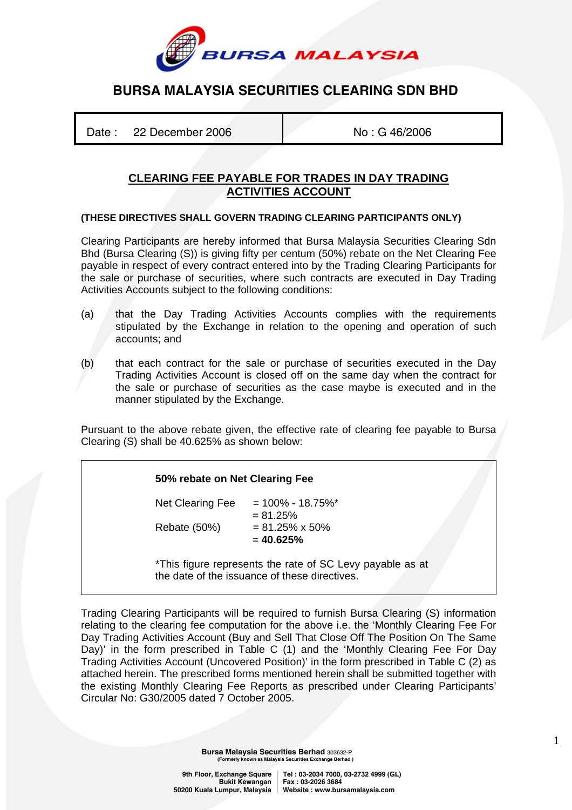

# **BURSA MALAYSIA SECURITIES CLEARING SDN BHD**

Date : 22 December 2006 No : G 46/2006

## **CLEARING FEE PAYABLE FOR TRADES IN DAY TRADING ACTIVITIES ACCOUNT**

#### **(THESE DIRECTIVES SHALL GOVERN TRADING CLEARING PARTICIPANTS ONLY)**

Clearing Participants are hereby informed that Bursa Malaysia Securities Clearing Sdn Bhd (Bursa Clearing (S)) is giving fifty per centum (50%) rebate on the Net Clearing Fee payable in respect of every contract entered into by the Trading Clearing Participants for the sale or purchase of securities, where such contracts are executed in Day Trading Activities Accounts subject to the following conditions:

- (a) that the Day Trading Activities Accounts complies with the requirements stipulated by the Exchange in relation to the opening and operation of such accounts; and
- (b) that each contract for the sale or purchase of securities executed in the Day Trading Activities Account is closed off on the same day when the contract for the sale or purchase of securities as the case maybe is executed and in the manner stipulated by the Exchange.

Pursuant to the above rebate given, the effective rate of clearing fee payable to Bursa Clearing (S) shall be 40.625% as shown below:

#### **50% rebate on Net Clearing Fee**

Net Clearing Fee  $= 100\% - 18.75\%*$  $= 81.25%$ Rebate (50%) =  $81.25\% \times 50\%$ = **40.625%** 

\*This figure represents the rate of SC Levy payable as at the date of the issuance of these directives.

Trading Clearing Participants will be required to furnish Bursa Clearing (S) information relating to the clearing fee computation for the above i.e. the 'Monthly Clearing Fee For Day Trading Activities Account (Buy and Sell That Close Off The Position On The Same Day)' in the form prescribed in Table C (1) and the 'Monthly Clearing Fee For Day Trading Activities Account (Uncovered Position)' in the form prescribed in Table C (2) as attached herein. The prescribed forms mentioned herein shall be submitted together with the existing Monthly Clearing Fee Reports as prescribed under Clearing Participants' Circular No: G30/2005 dated 7 October 2005.

> **Bursa Malaysia Securities Berhad** 303632-P **(Formerly known as Malaysia Securities Exchange Berhad )**

9th Floor, Exchange Square | Tel : 03-2034 7000, 03-2732 4999 (GL)<br>**Bukit Kewangan | Fax : 03-2026 3684 Bukit Kewangan Fax : 03-2026 3684 50200 Kuala Lumpur, Malaysia Website : www.bursamalaysia.com** 

1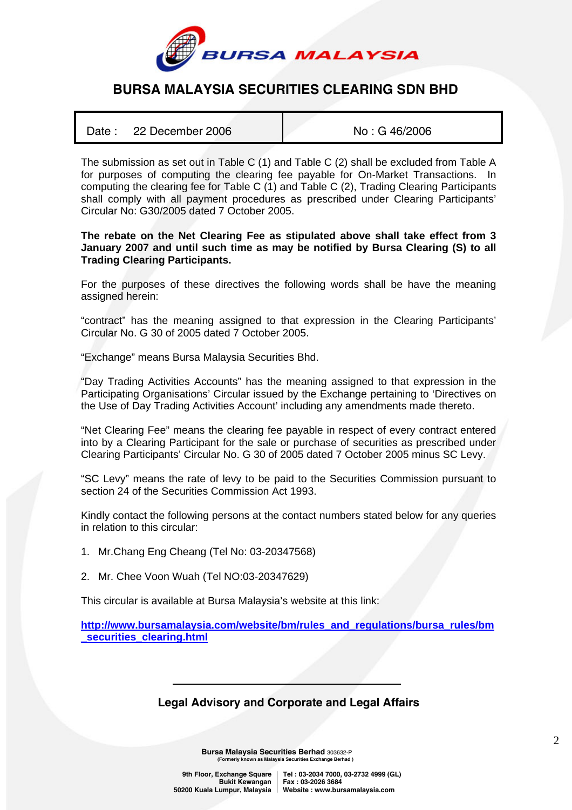

# **BURSA MALAYSIA SECURITIES CLEARING SDN BHD**

| Date: 22 December 2006 | No: G 46/2006 |
|------------------------|---------------|
|                        |               |

The submission as set out in Table C (1) and Table C (2) shall be excluded from Table A for purposes of computing the clearing fee payable for On-Market Transactions. In computing the clearing fee for Table C (1) and Table C (2), Trading Clearing Participants shall comply with all payment procedures as prescribed under Clearing Participants' Circular No: G30/2005 dated 7 October 2005.

#### **The rebate on the Net Clearing Fee as stipulated above shall take effect from 3 January 2007 and until such time as may be notified by Bursa Clearing (S) to all Trading Clearing Participants.**

For the purposes of these directives the following words shall be have the meaning assigned herein:

"contract" has the meaning assigned to that expression in the Clearing Participants' Circular No. G 30 of 2005 dated 7 October 2005.

"Exchange" means Bursa Malaysia Securities Bhd.

"Day Trading Activities Accounts" has the meaning assigned to that expression in the Participating Organisations' Circular issued by the Exchange pertaining to 'Directives on the Use of Day Trading Activities Account' including any amendments made thereto.

"Net Clearing Fee" means the clearing fee payable in respect of every contract entered into by a Clearing Participant for the sale or purchase of securities as prescribed under Clearing Participants' Circular No. G 30 of 2005 dated 7 October 2005 minus SC Levy.

"SC Levy" means the rate of levy to be paid to the Securities Commission pursuant to section 24 of the Securities Commission Act 1993.

Kindly contact the following persons at the contact numbers stated below for any queries in relation to this circular:

- 1. Mr.Chang Eng Cheang (Tel No: 03-20347568)
- 2. Mr. Chee Voon Wuah (Tel NO:03-20347629)

This circular is available at Bursa Malaysia's website at this link:

**http://www.bursamalaysia.com/website/bm/rules\_and\_regulations/bursa\_rules/bm \_securities\_clearing.html**

## **Legal Advisory and Corporate and Legal Affairs**

**Bursa Malaysia Securities Berhad** 303632-P **(Formerly known as Malaysia Securities Exchange Berhad )** 

 **Bukit Kewangan Fax : 03-2026 3684** 

9th Floor, Exchange Square | Tel: 03-2034 7000, 03-2732 4999 (GL)  **50200 Kuala Lumpur, Malaysia Website : www.bursamalaysia.com**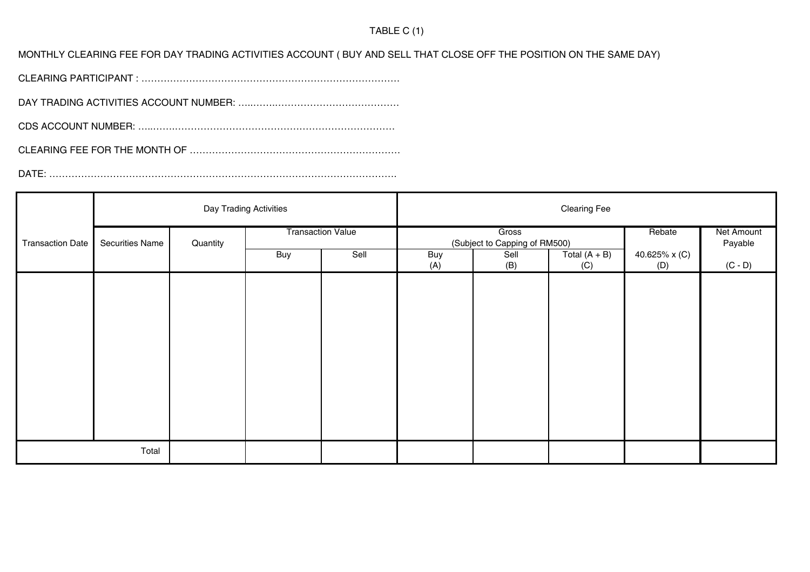### TABLE C (1)

MONTHLY CLEARING FEE FOR DAY TRADING ACTIVITIES ACCOUNT ( BUY AND SELL THAT CLOSE OFF THE POSITION ON THE SAME DAY)

CLEARING PARTICIPANT : ………………………………………………………………………

DAY TRADING ACTIVITIES ACCOUNT NUMBER: …..…….…………………………………

CDS ACCOUNT NUMBER: …..…….……………………………………………………………

CLEARING FEE FOR THE MONTH OF …………………………………………………………

DATE: ……………………………………………………………………………………………….

|                         | Day Trading Activities |          |                          | <b>Clearing Fee</b> |                                        |             |                        |                      |                       |
|-------------------------|------------------------|----------|--------------------------|---------------------|----------------------------------------|-------------|------------------------|----------------------|-----------------------|
| <b>Transaction Date</b> | Securities Name        | Quantity | <b>Transaction Value</b> |                     | Gross<br>(Subject to Capping of RM500) |             |                        | Rebate               | Net Amount<br>Payable |
|                         |                        |          | Buy                      | Sell                | <b>Buy</b><br>(A)                      | Sell<br>(B) | Total $(A + B)$<br>(C) | 40.625% x (C)<br>(D) | $(C - D)$             |
|                         |                        |          |                          |                     |                                        |             |                        |                      |                       |
|                         |                        |          |                          |                     |                                        |             |                        |                      |                       |
|                         |                        |          |                          |                     |                                        |             |                        |                      |                       |
|                         |                        |          |                          |                     |                                        |             |                        |                      |                       |
|                         |                        |          |                          |                     |                                        |             |                        |                      |                       |
|                         |                        |          |                          |                     |                                        |             |                        |                      |                       |
|                         |                        |          |                          |                     |                                        |             |                        |                      |                       |
| Total                   |                        |          |                          |                     |                                        |             |                        |                      |                       |